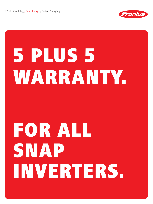/ Perfect Welding / Solar Energy / Perfect Charging



## 5 PLUS 5 WARRANTY.

## FOR ALL SNAP INVERTERS.